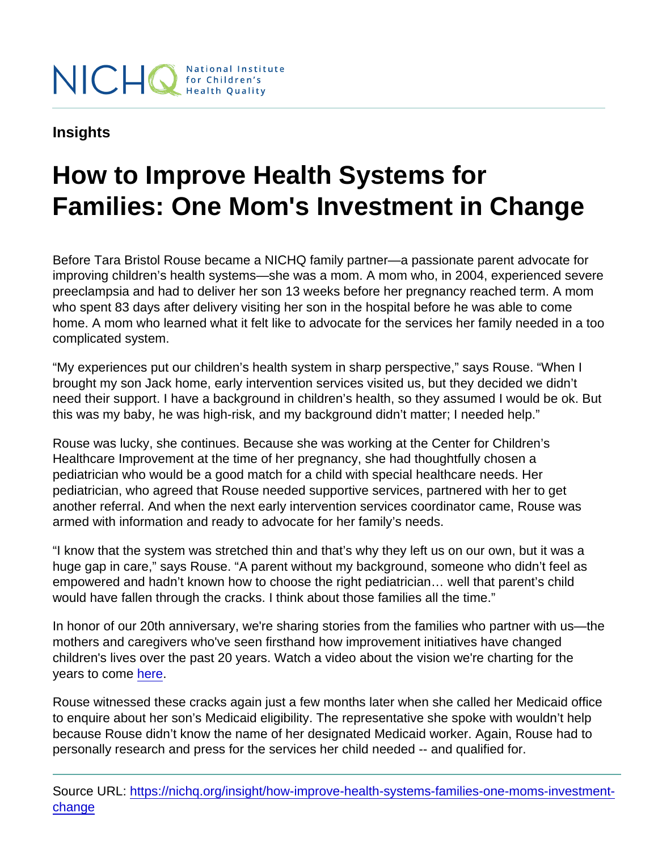## Insights

## How to Improve Health Systems for Families: One Mom's Investment in Change

Before Tara Bristol Rouse became a NICHQ family partner—a passionate parent advocate for improving children's health systems—she was a mom. A mom who, in 2004, experienced severe preeclampsia and had to deliver her son 13 weeks before her pregnancy reached term. A mom who spent 83 days after delivery visiting her son in the hospital before he was able to come home. A mom who learned what it felt like to advocate for the services her family needed in a too complicated system.

"My experiences put our children's health system in sharp perspective," says Rouse. "When I brought my son Jack home, early intervention services visited us, but they decided we didn't need their support. I have a background in children's health, so they assumed I would be ok. But this was my baby, he was high-risk, and my background didn't matter; I needed help."

Rouse was lucky, she continues. Because she was working at the Center for Children's Healthcare Improvement at the time of her pregnancy, she had thoughtfully chosen a pediatrician who would be a good match for a child with special healthcare needs. Her pediatrician, who agreed that Rouse needed supportive services, partnered with her to get another referral. And when the next early intervention services coordinator came, Rouse was armed with information and ready to advocate for her family's needs.

"I know that the system was stretched thin and that's why they left us on our own, but it was a huge gap in care," says Rouse. "A parent without my background, someone who didn't feel as empowered and hadn't known how to choose the right pediatrician… well that parent's child would have fallen through the cracks. I think about those families all the time."

In honor of our 20th anniversary, we're sharing stories from the families who partner with us—the mothers and caregivers who've seen firsthand how improvement initiatives have changed children's lives over the past 20 years. Watch a video about the vision we're charting for the years to come [here.](https://www.nichq.org/campaign/happy-anniversary#video)

Rouse witnessed these cracks again just a few months later when she called her Medicaid office to enquire about her son's Medicaid eligibility. The representative she spoke with wouldn't help because Rouse didn't know the name of her designated Medicaid worker. Again, Rouse had to personally research and press for the services her child needed -- and qualified for.

Source URL: [https://nichq.org/insight/how-improve-health-systems-families-one-moms-investment](https://nichq.org/insight/how-improve-health-systems-families-one-moms-investment-change)[change](https://nichq.org/insight/how-improve-health-systems-families-one-moms-investment-change)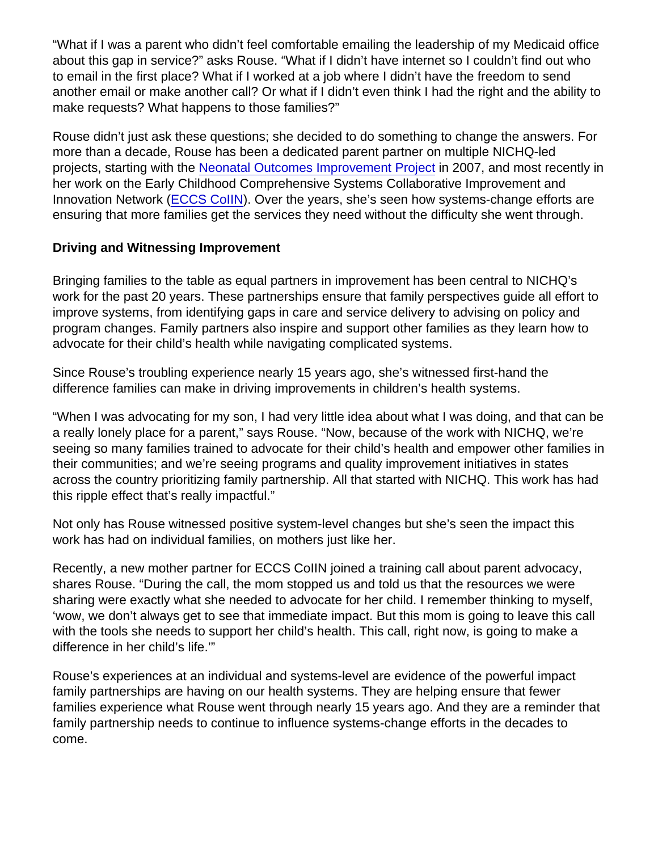"What if I was a parent who didn't feel comfortable emailing the leadership of my Medicaid office about this gap in service?" asks Rouse. "What if I didn't have internet so I couldn't find out who to email in the first place? What if I worked at a job where I didn't have the freedom to send another email or make another call? Or what if I didn't even think I had the right and the ability to make requests? What happens to those families?"

Rouse didn't just ask these questions; she decided to do something to change the answers. For more than a decade, Rouse has been a dedicated parent partner on multiple NICHQ-led projects, starting with the [Neonatal Outcomes Improvement Project](https://www.nichq.org/project/neonatal-outcomes-improvement-projects-noip) in 2007, and most recently in her work on the Early Childhood Comprehensive Systems Collaborative Improvement and Innovation Network [\(ECCS CoIIN](https://www.nichq.org/project/early-childhood-comprehensive-systems-collaborative-improvement-and-innovation-network-eccs)). Over the years, she's seen how systems-change efforts are ensuring that more families get the services they need without the difficulty she went through.

## Driving and Witnessing Improvement

Bringing families to the table as equal partners in improvement has been central to NICHQ's work for the past 20 years. These partnerships ensure that family perspectives guide all effort to improve systems, from identifying gaps in care and service delivery to advising on policy and program changes. Family partners also inspire and support other families as they learn how to advocate for their child's health while navigating complicated systems.

Since Rouse's troubling experience nearly 15 years ago, she's witnessed first-hand the difference families can make in driving improvements in children's health systems.

"When I was advocating for my son, I had very little idea about what I was doing, and that can be a really lonely place for a parent," says Rouse. "Now, because of the work with NICHQ, we're seeing so many families trained to advocate for their child's health and empower other families in their communities; and we're seeing programs and quality improvement initiatives in states across the country prioritizing family partnership. All that started with NICHQ. This work has had this ripple effect that's really impactful."

Not only has Rouse witnessed positive system-level changes but she's seen the impact this work has had on individual families, on mothers just like her.

Recently, a new mother partner for ECCS CoIIN joined a training call about parent advocacy, shares Rouse. "During the call, the mom stopped us and told us that the resources we were sharing were exactly what she needed to advocate for her child. I remember thinking to myself, 'wow, we don't always get to see that immediate impact. But this mom is going to leave this call with the tools she needs to support her child's health. This call, right now, is going to make a difference in her child's life.'"

Rouse's experiences at an individual and systems-level are evidence of the powerful impact family partnerships are having on our health systems. They are helping ensure that fewer families experience what Rouse went through nearly 15 years ago. And they are a reminder that family partnership needs to continue to influence systems-change efforts in the decades to come.